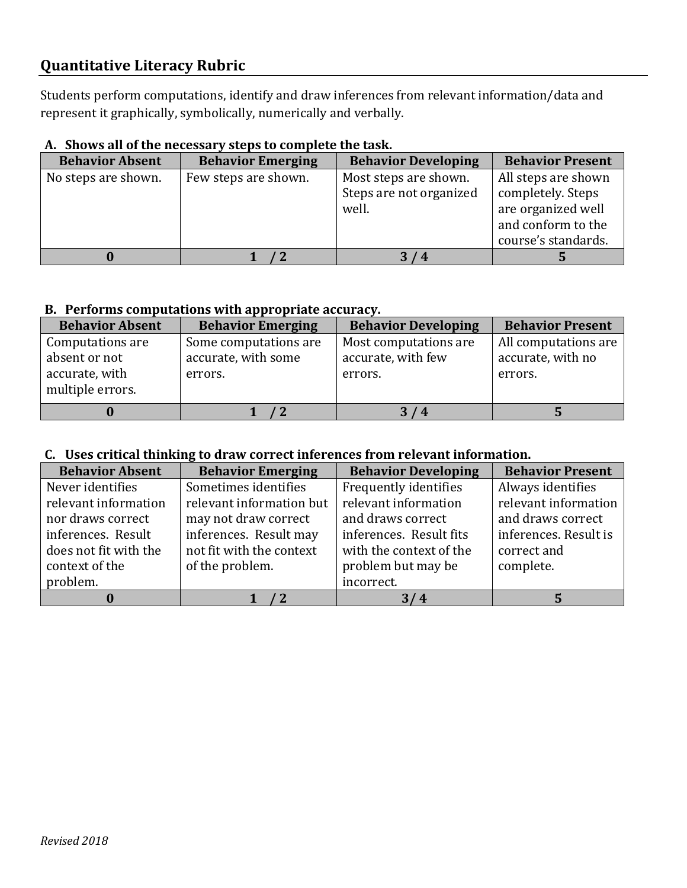# **Quantitative Literacy Rubric**

Students perform computations, identify and draw inferences from relevant information/data and represent it graphically, symbolically, numerically and verbally.

## **A. Shows all of the necessary steps to complete the task.**

| <b>Behavior Absent</b> | <b>Behavior Emerging</b> | <b>Behavior Developing</b>                                | <b>Behavior Present</b>                                        |
|------------------------|--------------------------|-----------------------------------------------------------|----------------------------------------------------------------|
| No steps are shown.    | Few steps are shown.     | Most steps are shown.<br>Steps are not organized<br>well. | All steps are shown<br>completely. Steps<br>are organized well |
|                        |                          |                                                           | and conform to the<br>course's standards.                      |
|                        |                          | 3<br>/4                                                   |                                                                |

#### **B. Performs computations with appropriate accuracy.**

| <b>Behavior Absent</b>                                                  | <b>Behavior Emerging</b>                                | <b>Behavior Developing</b>                             | <b>Behavior Present</b>                              |
|-------------------------------------------------------------------------|---------------------------------------------------------|--------------------------------------------------------|------------------------------------------------------|
| Computations are<br>absent or not<br>accurate, with<br>multiple errors. | Some computations are<br>accurate, with some<br>errors. | Most computations are<br>accurate, with few<br>errors. | All computations are<br>accurate, with no<br>errors. |
|                                                                         |                                                         | /4                                                     |                                                      |

## **C. Uses critical thinking to draw correct inferences from relevant information.**

| <b>Behavior Absent</b> | <b>Behavior Emerging</b> | <b>Behavior Developing</b> | <b>Behavior Present</b> |
|------------------------|--------------------------|----------------------------|-------------------------|
| Never identifies       | Sometimes identifies     | Frequently identifies      | Always identifies       |
| relevant information   | relevant information but | relevant information       | relevant information    |
| nor draws correct      | may not draw correct     | and draws correct          | and draws correct       |
| inferences. Result     | inferences. Result may   | inferences. Result fits    | inferences. Result is   |
| does not fit with the  | not fit with the context | with the context of the    | correct and             |
| context of the         | of the problem.          | problem but may be         | complete.               |
| problem.               |                          | incorrect.                 |                         |
|                        |                          | 3/4                        |                         |